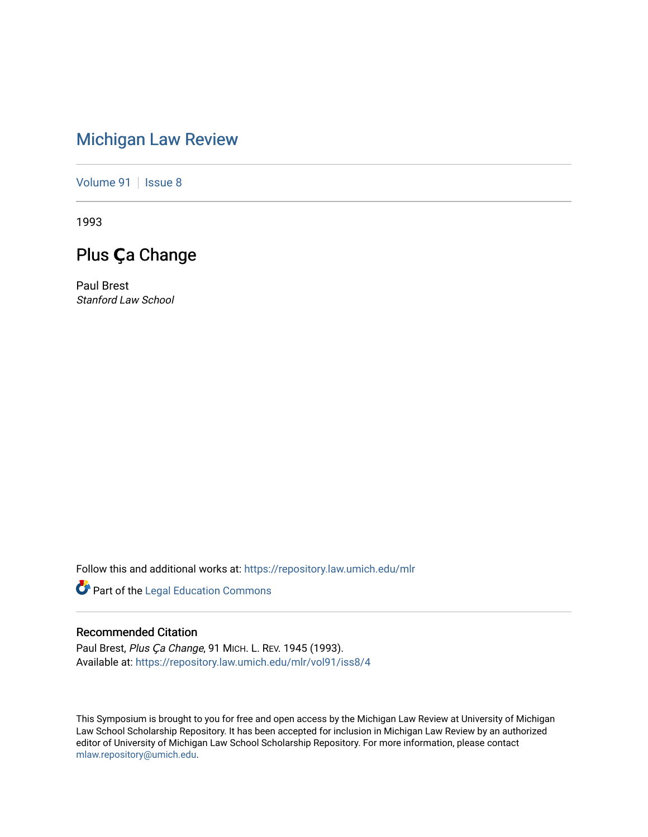# [Michigan Law Review](https://repository.law.umich.edu/mlr)

[Volume 91](https://repository.law.umich.edu/mlr/vol91) | [Issue 8](https://repository.law.umich.edu/mlr/vol91/iss8)

1993

# Plus **Ҫ**a Change

Paul Brest Stanford Law School

Follow this and additional works at: [https://repository.law.umich.edu/mlr](https://repository.law.umich.edu/mlr?utm_source=repository.law.umich.edu%2Fmlr%2Fvol91%2Fiss8%2F4&utm_medium=PDF&utm_campaign=PDFCoverPages) 

**Part of the Legal Education Commons** 

## Recommended Citation

Paul Brest, Plus Ҫa Change, 91 MICH. L. REV. 1945 (1993). Available at: [https://repository.law.umich.edu/mlr/vol91/iss8/4](https://repository.law.umich.edu/mlr/vol91/iss8/4?utm_source=repository.law.umich.edu%2Fmlr%2Fvol91%2Fiss8%2F4&utm_medium=PDF&utm_campaign=PDFCoverPages)

This Symposium is brought to you for free and open access by the Michigan Law Review at University of Michigan Law School Scholarship Repository. It has been accepted for inclusion in Michigan Law Review by an authorized editor of University of Michigan Law School Scholarship Repository. For more information, please contact [mlaw.repository@umich.edu.](mailto:mlaw.repository@umich.edu)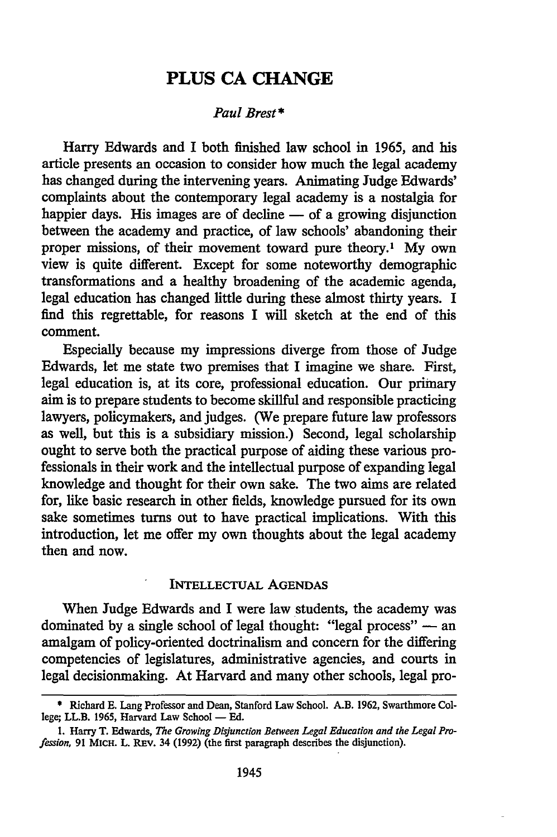# **PLUS CA CHANGE**

#### *Paul Brest\**

Harry Edwards and I both finished law school in 1965, and his article presents an occasion to consider how much the legal academy has changed during the intervening years. Animating Judge Edwards' complaints about the contemporary legal academy is a nostalgia for happier days. His images are of decline  $-$  of a growing disjunction between the academy and practice, of law schools' abandoning their proper missions, of their movement toward pure theory.<sup>1</sup> My own view is quite different. Except for some noteworthy demographic transformations and a healthy broadening of the academic agenda, legal education has changed little during these almost thirty years. I find this regrettable, for reasons I will sketch at the end of this comment.

Especially because my impressions diverge from those of Judge Edwards, let me state two premises that I imagine we share. First, legal education is, at its core, professional education. Our primary aim is to prepare students to become skillful and responsible practicing lawyers, policymakers, and judges. (We prepare future law professors as well, but this is a subsidiary mission.) Second, legal scholarship ought to serve both the practical purpose of aiding these various professionals in their work and the intellectual purpose of expanding legal knowledge and thought for their own sake. The two aims are related for, like basic research in other fields, knowledge pursued for its own sake sometimes turns out to have practical implications. With this introduction, let me offer my own thoughts about the legal academy then and now.

#### INTELLECTUAL AGENDAS

When Judge Edwards and I were law students, the academy was dominated by a single school of legal thought: "legal process" - an amalgam of policy-oriented doctrinalism and concern for the differing competencies of legislatures, administrative agencies, and courts in legal decisionmaking. At Harvard and many other schools, legal pro-

<sup>•</sup> Richard E. Lang Professor and Dean, Stanford Law School. A.B. 1962, Swarthmore Col· lege; LL.B. 1965, Harvard Law School - Ed.

I. Harry T. Edwards, *The Growing Disjunction Between Legal Education and the Legal Profession,* 91 MICH. L. REv. 34 (1992) (the first paragraph describes the disjunction).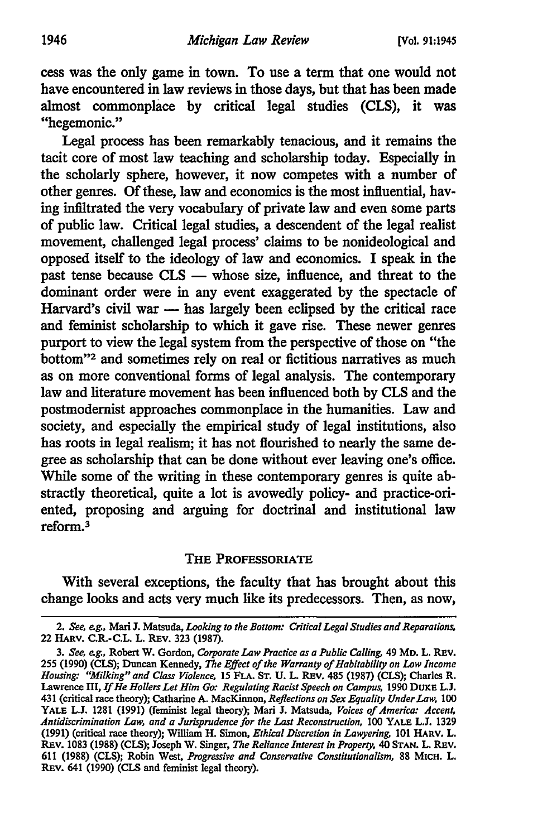cess was the only game in town. To use a term that one would not have encountered in law reviews in those days, but that has been made almost commonplace by critical legal studies (CLS), it was "hegemonic."

Legal process has been remarkably tenacious, and it remains the tacit core of most law teaching and scholarship today. Especially in the scholarly sphere, however, it now competes with a number of other genres. Of these, law and economics is the most influential, having infiltrated the very vocabulary of private law and even some parts of public law. Critical legal studies, a descendent of the legal realist movement, challenged legal process' claims to be nonideological and opposed itself to the ideology of law and economics. I speak in the past tense because  $CLS$  - whose size, influence, and threat to the dominant order were in any event exaggerated by the spectacle of Harvard's civil war  $-$  has largely been eclipsed by the critical race and feminist scholarship to which it gave rise. These newer genres purport to view the legal system from the perspective of those on "the bottom"2 and sometimes rely on real or fictitious narratives as much as on more conventional forms of legal analysis. The contemporary law and literature movement has been influenced both by CLS and the postmodernist approaches commonplace in the humanities. Law and society, and especially the empirical study of legal institutions, also has roots in legal realism; it has not flourished to nearly the same degree as scholarship that can be done without ever leaving one's office. While some of the writing in these contemporary genres is quite abstractly theoretical, quite a lot is avowedly policy- and practice-oriented, proposing and arguing for doctrinal and institutional law reform.3

#### THE PROFESSORIATE

With several exceptions, the faculty that has brought about this change looks and acts very much like its predecessors. Then, as now,

<sup>2.</sup> *See, e.g.,* Mari J. Matsuda, *Looking to the Bottom: Critical Legal Studies and Reparations,*  22 HARV. C.R.-C.L. L. REv. 323 (1987).

<sup>3.</sup> *See, e.g.,* Robert W. Gordon, *Corporate Law Practice as a Public Calling,* 49 Mo. L. REV. 255 (1990) (CLS); Duncan Kennedy, *The Effect of the Warranty of Habitability on Low Income Housing: ''Milking" and Class Violence,* 15 FLA. ST. U. L. REv. 485 (1987) (CLS); Charles R. Lawrence III, If *He Hollers Let Him Go: Regulating Racist Speech on Campus*, 1990 DUKE L.J. 431 (critical race theory); Catharine A. MacKinnon, *Reflections on Sex Equality Under Low,* 100 YALE L.J. 1281 (1991) (feminist legal theory); Mari J. Matsuda, *Voices of America: Accent, Antidiscrimination Low, and a Jurisprudence for the Last Reconstruction,* 100 YALE L.J. 1329 (1991) (critical race theory); William H. Simon, *Ethical Discretion in Lowyering,* 101 HARV. L. REv. 1083 (1988) (CLS); Joseph W. Singer, *The Reliance Interest in Property,* 40 STAN. L. REv. 611 (1988) (CLS); Robin West, *Progressive and Conservative Constitutionalism,* 88 MICH. L. REV. 641 (1990) (CLS and feminist legal theory).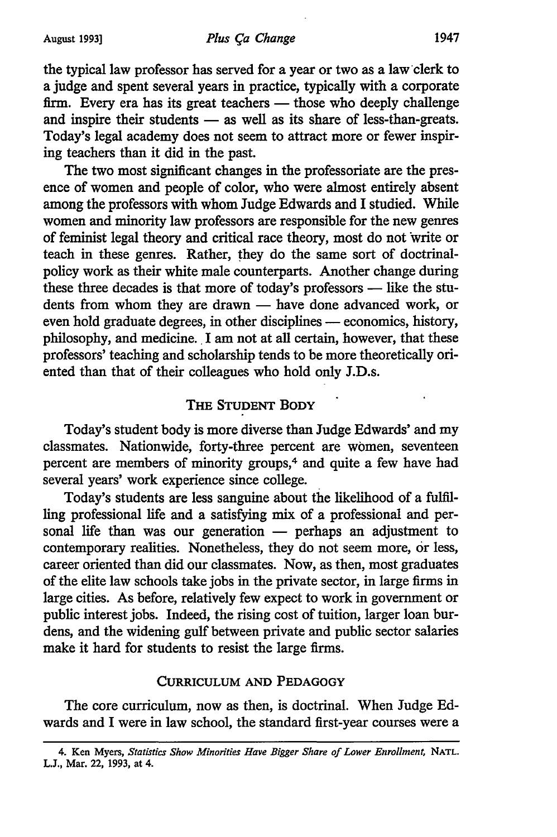the typical law professor has served for a year or two as a law·cierk to a judge and spent several years in practice, typically with a corporate firm. Every era has its great teachers — those who deeply challenge and inspire their students  $-$  as well as its share of less-than-greats. Today's legal academy does not seem to attract more or fewer inspiring teachers than it did in the past.

The two most significant changes in the professoriate are the presence of women and people of color, who were almost entirely absent among the professors with whom Judge Edwards and I studied. While women and minority law professors are responsible for the new genres of feminist legal theory and critical race theory, most do not write or teach in these genres. Rather, they do the same sort of doctrinalpolicy work as their white male counterparts. Another change during these three decades is that more of today's professors  $-$  like the students from whom they are drawn  $-$  have done advanced work, or even hold graduate degrees, in other disciplines — economics, history, philosophy, and medicine. I am not at all certain, however, that these professors' teaching and scholarship tends to be more theoretically oriented than that of their colleagues who hold only J.D.s.

### THE STUDENT BODY

Today's student body is more diverse than Judge Edwards' and my classmates. Nationwide, forty-three percent are women, seventeen percent are members of minority groups,<sup>4</sup> and quite a few have had several years' work experience since college. .

Today's students are less sanguine about the likelihood of a fulfilling professional life and a satisfying mix of a professional and personal life than was our generation  $-$  perhaps an adjustment to contemporary realities. Nonetheless, they do not seem more, or less, career oriented than did our classmates. Now, as then, most graduates of the elite law schools take jobs in the private sector, in large firms in large cities. As before, relatively few expect to work in government or public interest jobs. Indeed, the rising cost of tuition, larger loan burdens, and the widening gulf between private and public sector salaries make it hard for students to resist the large firms.

### CURRICULUM AND PEDAGOGY

The core curriculum, now as then, is doctrinal. When Judge Edwards and I were in law school, the standard first-year courses were a

<sup>4.</sup> Ken Myers, *Statistics Show Minorities Have Bigger Share of Lower Enrollment,* NATL. L.J., Mar. 22, 1993, at 4.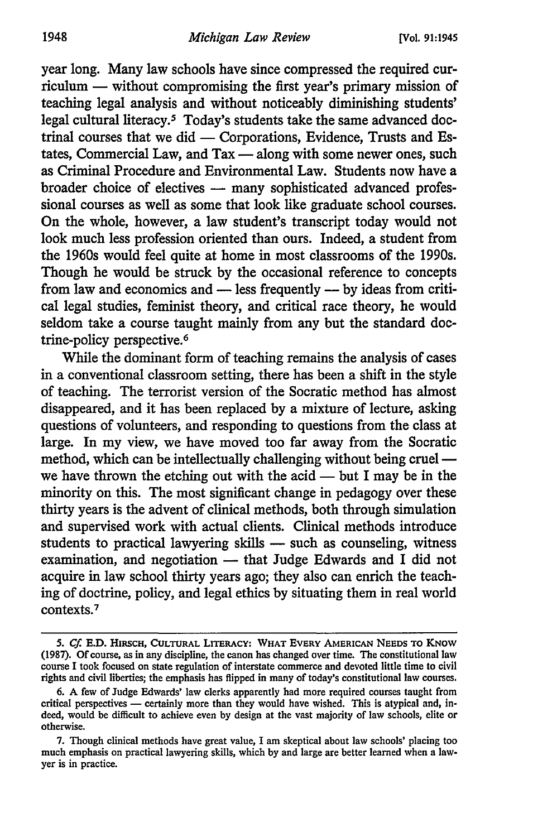year long. Many law schools have since compressed the required curriculum — without compromising the first year's primary mission of teaching legal analysis and without noticeably diminishing students' legal cultural literacy.5 Today's students take the same advanced doc $t$ rinal courses that we did — Corporations, Evidence, Trusts and Estates, Commercial Law, and  $\text{Tax}$   $-$  along with some newer ones, such as Criminal Procedure and Environmental Law. Students now have a broader choice of electives - many sophisticated advanced professional courses as well as some that look like graduate school courses. On the whole, however, a law student's transcript today would not look much less profession oriented than ours. Indeed, a student from the 1960s would feel quite at home in most classrooms of the 1990s. Though he would be struck by the occasional reference to concepts from law and economics and  $-$  less frequently  $-$  by ideas from critical legal studies, feminist theory, and critical race theory, he would seldom take a course taught mainly from any but the standard doctrine-policy perspective. 6

While the dominant form of teaching remains the analysis of cases in a conventional classroom setting, there has been a shift in the style of teaching. The terrorist version of the Socratic method has almost disappeared, and it has been replaced by a mixture of lecture, asking questions of volunteers, and responding to questions from the class at large. In my view, we have moved too far away from the Socratic method, which can be intellectually challenging without being cruel  $$ we have thrown the etching out with the acid  $-$  but I may be in the minority on this. The most significant change in pedagogy over these thirty years is the advent of clinical methods, both through simulation and supervised work with actual clients. Clinical methods introduce students to practical lawyering skills  $-$  such as counseling, witness examination, and negotiation  $-$  that Judge Edwards and I did not acquire in law school thirty years ago; they also can enrich the teaching of doctrine, policy, and legal ethics by situating them in real world contexts.7

<sup>5.</sup> *Cf.* E.D. HIRSCH, CULTURAL LITERACY: WHAT EVERY AMERICAN NEEDS TO KNOW (1987). Of course, as in any discipline, the canon has changed over time. The constitutional law course I took focused on state regulation of interstate commerce and devoted little time to civil rights and civil liberties; the emphasis has flipped in many of today's constitutional law courses.

<sup>6.</sup> A few of Judge Edwards' law clerks apparently had more required courses taught from critical perspectives — certainly more than they would have wished. This is atypical and, indeed, would be difficult to achieve even by design at the vast majority of law schools, elite or otherwise.

<sup>7.</sup> Though clinical methods have great value, I am skeptical about law schools' placing too much emphasis on practical lawyering skills, which by and large are better learned when a lawyer is in practice.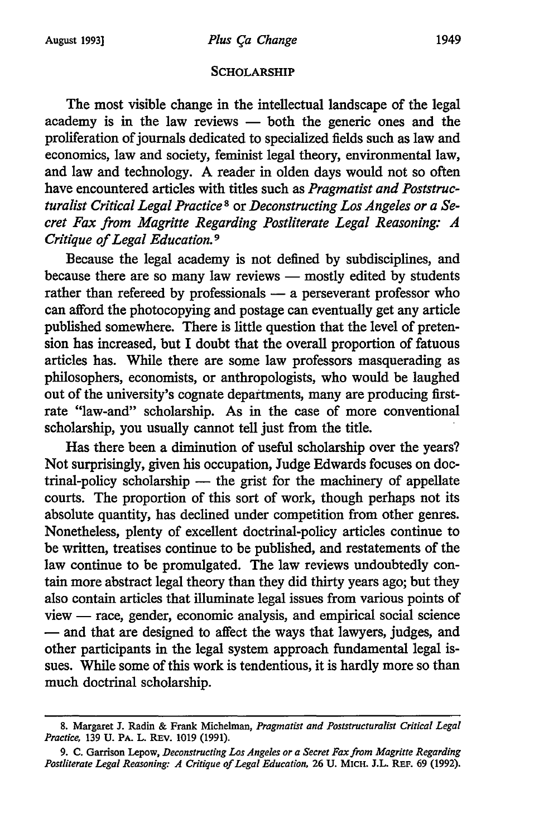The most visible change in the intellectual landscape of the legal  $academy$  is in the law reviews  $-$  both the generic ones and the proliferation of journals dedicated to specialized fields such as law and economics, law and society, feminist legal theory, environmental law, and law and technology. A reader in olden days would not so often have encountered articles with titles such as *Pragmatist and Poststructuralist Critical Legal Practice* 8 or *Deconstructing Los Angeles or a Secret Fax from Magritte Regarding Postliterate Legal Reasoning: A Critique of Legal Education.* <sup>9</sup>

Because the legal academy is not defined by subdisciplines, and because there are so many law reviews  $-$  mostly edited by students rather than refereed by professionals - a perseverant professor who can afford the photocopying and postage can eventually get any article published somewhere. There is little question that the level of pretension has increased, but I doubt that the overall proportion of fatuous articles has. While there are some law professors masquerading as philosophers, economists, or anthropologists, who would be laughed out of the university's cognate departments, many are producing firstrate "law-and" scholarship. As in the case of more conventional scholarship, you usually cannot tell just from the title.

Has there been a diminution of useful scholarship over the years? Not surprisingly, given his occupation, Judge Edwards focuses on doc $t$ rinal-policy scholarship  $-$  the grist for the machinery of appellate courts. The proportion of this sort of work, though perhaps not its absolute quantity, has declined under competition from other genres. Nonetheless, plenty of excellent doctrinal-policy articles continue to be written, treatises continue to be published, and restatements of the law continue to be promulgated. The law reviews undoubtedly contain more abstract legal theory than they did thirty years ago; but they also contain articles that illuminate legal issues from various points of view - race, gender, economic analysis, and empirical social science - and that are designed to affect the ways that lawyers, judges, and other participants in the legal system approach fundamental legal issues. While some of this work is tendentious, it is hardly more so than much doctrinal scholarship.

<sup>8.</sup> Margaret J. Radin & Frank Michelman, *Pragmatist and Poststrocturalist Critical Legal Practice,* 139 U. PA. L. REV. 1019 (1991).

<sup>9.</sup> C. Garrison Lepow, *Deconstructing Los Angeles or a Secret Fax from Magritte Regarding Post/iterate Legal Reasoning: A Critique of Legal Education,* 26 U. MICH. J.L. REF. 69 (1992).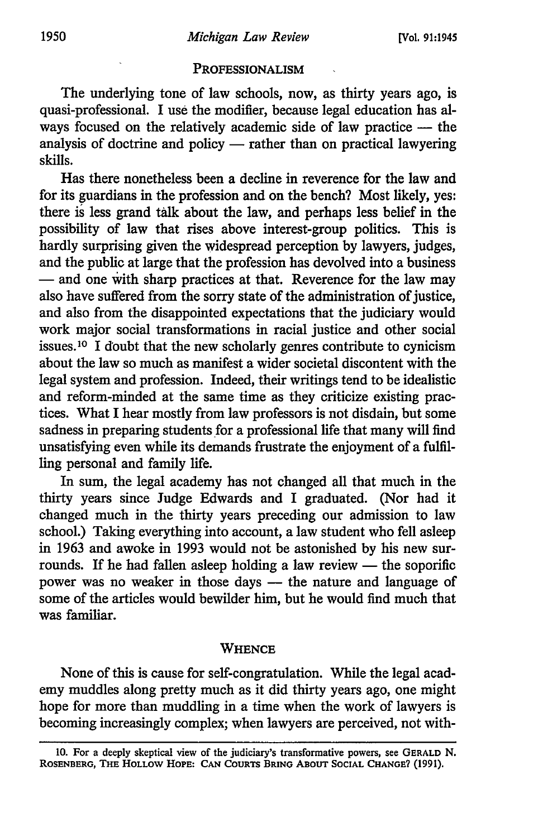#### PROFESSIONALISM

The underlying tone of law schools, now, as thirty years ago, is quasi-professional. I use the modifier, because legal education has always focused on the relatively academic side of law practice - the analysis of doctrine and policy  $-$  rather than on practical lawyering skills.

Has there nonetheless been a decline in reverence for the law and for its guardians in the profession and on the bench? Most likely, yes: there is less grand talk about the law, and perhaps less belief in the possibility of law that rises above interest-group politics. This is hardly surprising given the widespread perception by lawyers, judges, and the public at large that the profession has devolved into a business - and one with sharp practices at that. Reverence for the law may also have suffered from the sorry state of the administration of justice, and also from the disappointed expectations that the judiciary would work major social transformations in racial justice and other social issues.<sup>10</sup> I doubt that the new scholarly genres contribute to cynicism about the law so much as manifest a wider societal discontent with the legal system and profession. Indeed, their writings tend to be idealistic and reform-minded at the same time as they criticize existing practices. What I hear mostly from law professors is not disdain, but some sadness in preparing students for a professional life that many will find unsatisfying even while its demands frustrate the enjoyment of a fulfilling personal and family life.

In sum, the legal academy has not changed all that much in the thirty years since Judge Edwards and I graduated. (Nor had it changed much in the thirty years preceding our admission to law school.) Taking everything into account, a law student who fell asleep in 1963 and awoke in 1993 would not be astonished by his new surrounds. If he had fallen asleep holding a law review  $-$  the soporific power was no weaker in those days — the nature and language of some of the articles would bewilder him, but he would find much that was familiar.

#### **WHENCE**

None of this is cause for self-congratulation. While the legal academy muddles along pretty much as it did thirty years ago, one might hope for more than muddling in a time when the work of lawyers is becoming increasingly complex; when lawyers are perceived, not with-

<sup>10.</sup> For a deeply skeptical view of the judiciary's transformative powers, see GERALD N. ROSENBERG, THE HOLLOW HOPE: CAN COURTS BRING ABOUT SOCIAL CHANGE? (1991).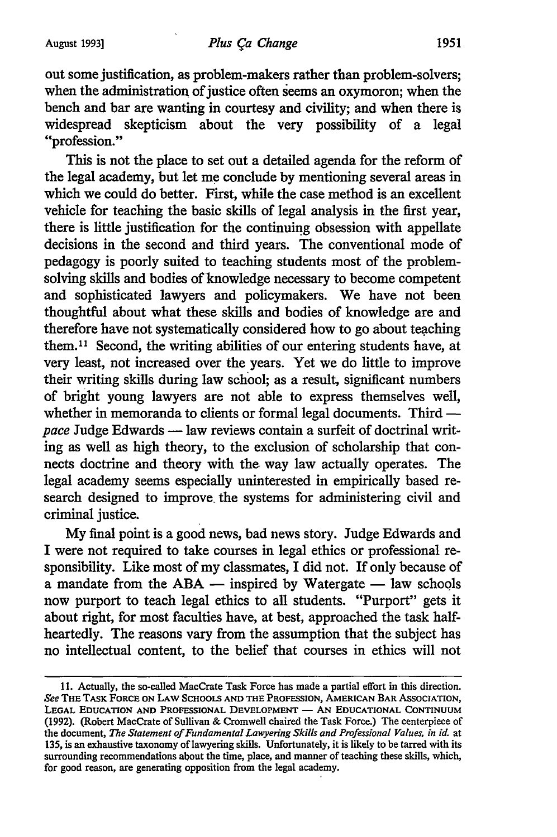out some justification, as problem-makers rather than problem-solvers; when the administration of justice often seems an oxymoron; when the bench and bar are wanting in courtesy and civility; and when there is widespread skepticism about the very possibility of a legal "profession."

This is not the place to set out a detailed agenda for the reform of the legal academy, but let me conclude by mentioning several areas in which we could do better. First, while the case method is an excellent vehicle for teaching the basic skills of legal analysis in the first year, there is little justification for the continuing obsession with appellate decisions in the second and third years. The conventional mode of pedagogy is poorly suited to teaching students most of the problemsolving skills and bodies of knowledge necessary to become competent and sophisticated lawyers and policymakers. We have not been thoughtful about what these skills and bodies of knowledge are and therefore have not systematically considered how to go about teaching them. 11 Second, the writing abilities of our entering students have, at very least, not increased over the years. Yet we do little to improve their writing skills during law school; as a result, significant numbers of bright young lawyers are not able to express themselves well, whether in memoranda to clients or formal legal documents. Third *pace* Judge Edwards — law reviews contain a surfeit of doctrinal writing as well as high theory, to the exclusion of scholarship that connects doctrine and theory with the way law actually operates. The legal academy seems especially uninterested in empirically based research designed to improve. the systems for administering civil and criminal justice.

My final point is a good news, bad news story. Judge Edwards and I were not required to take courses in legal ethics or professional responsibility. Like most of my classmates, I did not. If only because of a mandate from the  $ABA$  - inspired by Watergate - law schools now purport to teach legal ethics to all students. "Purport" gets it about right, for most faculties have, at best, approached the task halfheartedly. The reasons vary from the assumption that the subject has no intellectual content, to the belief that courses in ethics will not

<sup>11.</sup> Actually, the so-called MacCrate Task Force has made a partial effort in this direction. *See* THE TASK FORCE ON LAW SCHOOLS AND THE PROFESSION, AMERICAN BAR AssoCIATION, LEGAL EDUCATION AND PROFESSIONAL DEVELOPMENT - AN EDUCATIONAL CONTINUUM (1992). (Robert MacCrate of Sullivan & Cromwell chaired the Task Force.) The centerpiece of the document, *The Statement of Fundamental Lawyering Skills and Professional Values, in id.* at 135, is an exhaustive taxonomy oflawyering skills. Unfortunately, it is likely to be tarred with its surrounding recommendations about the time, place, and manner of teaching these skills, which, for good reason, are generating opposition from the legal academy.